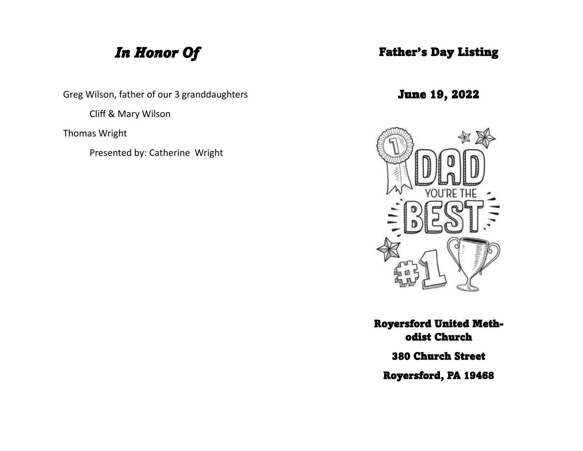# *In Honor Of*

Greg Wilson, father of our 3 granddaughters

Cliff & Mary Wilson

Thomas Wright

Presented by: Catherine Wright

#### Father's Day Listing

June 19, 2022



Royersford United Methodist Church 380 Church Street

Royersford, PA 19468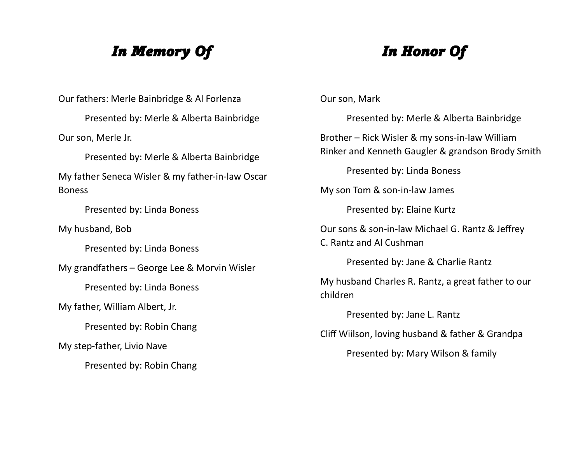## *In Memory Of*

# *In Honor Of*

Our fathers: Merle Bainbridge & Al Forlenza Presented by: Merle & Alberta Bainbridge Our son, Merle Jr. Presented by: Merle & Alberta Bainbridge My father Seneca Wisler & my father-in-law Oscar Boness Presented by: Linda Boness My husband, Bob Presented by: Linda Boness My grandfathers – George Lee & Morvin Wisler Presented by: Linda Boness My father, William Albert, Jr. Presented by: Robin Chang My step-father, Livio Nave Presented by: Robin Chang

Our son, Mark

Presented by: Merle & Alberta Bainbridge Brother – Rick Wisler & my sons-in-law William Rinker and Kenneth Gaugler & grandson Brody Smith Presented by: Linda Boness My son Tom & son-in-law James Presented by: Elaine Kurtz Our sons & son-in-law Michael G. Rantz & Jeffrey C. Rantz and Al Cushman Presented by: Jane & Charlie Rantz My husband Charles R. Rantz, a great father to our children Presented by: Jane L. Rantz Cliff Wiilson, loving husband & father & Grandpa Presented by: Mary Wilson & family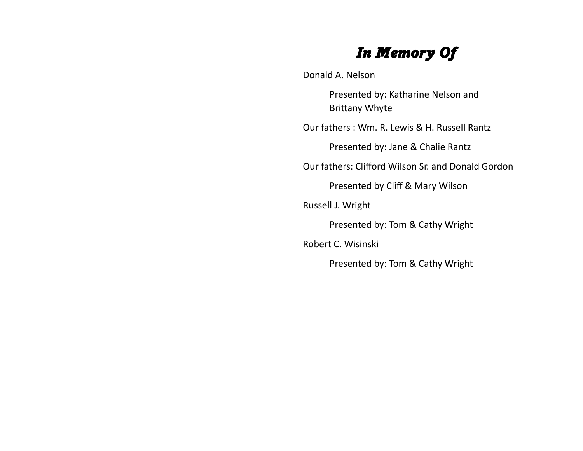# *In Memory Of*

Donald A. Nelson

Presented by: Katharine Nelson and Brittany Whyte

Our fathers : Wm. R. Lewis & H. Russell Rantz

Presented by: Jane & Chalie Rantz

Our fathers: Clifford Wilson Sr. and Donald Gordon

Presented by Cliff & Mary Wilson

Russell J. Wright

Presented by: Tom & Cathy Wright

Robert C. Wisinski

Presented by: Tom & Cathy Wright